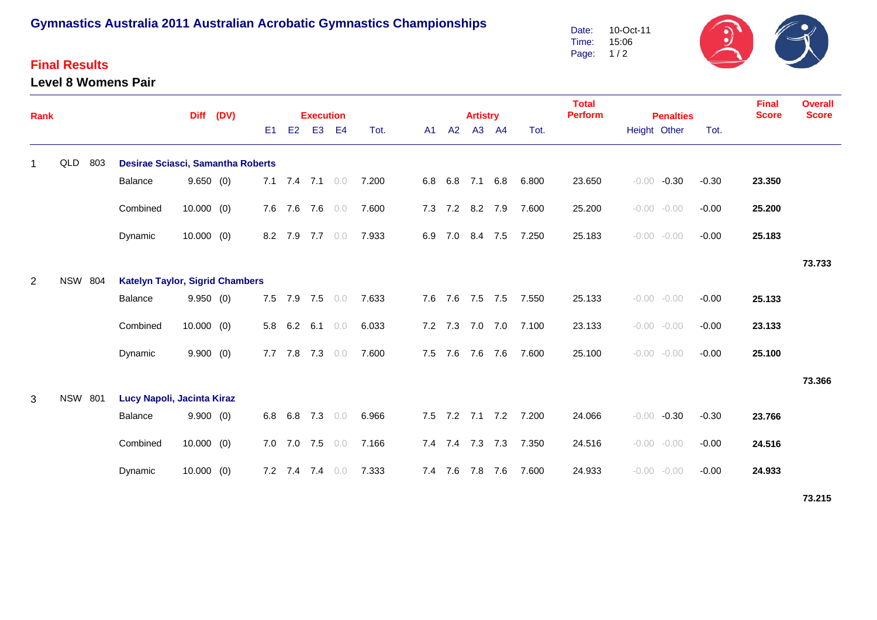# **Gymnastics Australia 2011 Australian Acrobatic Gymnastics Championships**

### **Final Results**

#### **Level 8 Womens Pair**

Date: Time: Page: 1 / 2 10-Oct-11 15:06



| Rank           |                                                          |     |                                   | <b>Diff</b>  | (DV) | <b>Execution</b> |    |                   |                |       |         |     | <b>Artistry</b> |                 |                       | <b>Total</b><br><b>Perform</b> | <b>Penalties</b>   |         | <b>Final</b><br><b>Score</b> | <b>Overall</b><br><b>Score</b> |
|----------------|----------------------------------------------------------|-----|-----------------------------------|--------------|------|------------------|----|-------------------|----------------|-------|---------|-----|-----------------|-----------------|-----------------------|--------------------------------|--------------------|---------|------------------------------|--------------------------------|
|                |                                                          |     |                                   |              |      | E1               | E2 | E <sub>3</sub>    | E <sub>4</sub> | Tot.  | A1      | A2  | A3              | <b>A4</b>       | Tot.                  |                                | Height Other       | Tot.    |                              |                                |
| 1              | QLD                                                      | 803 | Desirae Sciasci, Samantha Roberts |              |      |                  |    |                   |                |       |         |     |                 |                 |                       |                                |                    |         |                              |                                |
|                |                                                          |     | Balance                           | 9.650(0)     |      |                  |    | 7.1 7.4 7.1 $0.0$ |                | 7.200 | 6.8     | 6.8 | 7.1 6.8         |                 | 6.800                 | 23.650                         | $-0.00$<br>$-0.30$ | $-0.30$ | 23.350                       |                                |
|                |                                                          |     | Combined                          | $10.000$ (0) |      |                  |    | 7.6 7.6 7.6 0.0   |                | 7.600 |         |     | 7.3 7.2 8.2 7.9 |                 | 7.600                 | 25.200                         | $-0.00 - 0.00$     | $-0.00$ | 25.200                       |                                |
|                |                                                          |     | Dynamic                           | $10.000$ (0) |      |                  |    | 8.2 7.9 7.7 0.0   |                | 7.933 | 6.9 7.0 |     | 8.4 7.5         |                 | 7.250                 | 25.183                         | $-0.00 - 0.00$     | $-0.00$ | 25.183                       |                                |
|                |                                                          |     |                                   |              |      |                  |    |                   |                |       |         |     |                 |                 |                       |                                |                    |         |                              | 73.733                         |
| $\overline{2}$ | <b>NSW 804</b><br><b>Katelyn Taylor, Sigrid Chambers</b> |     |                                   |              |      |                  |    |                   |                |       |         |     |                 |                 |                       |                                |                    |         |                              |                                |
|                |                                                          |     | Balance                           | 9.950(0)     |      |                  |    | 7.5 7.9 7.5 0.0   |                | 7.633 |         |     | 7.6 7.6 7.5 7.5 |                 | 7.550                 | 25.133                         | $-0.00 - 0.00$     | $-0.00$ | 25.133                       |                                |
|                |                                                          |     | Combined                          | $10.000$ (0) |      |                  |    | 5.8 6.2 6.1 0.0   |                | 6.033 |         |     |                 | 7.2 7.3 7.0 7.0 | 7.100                 | 23.133                         | $-0.00 - 0.00$     | $-0.00$ | 23.133                       |                                |
|                |                                                          |     | Dynamic                           | 9.900(0)     |      |                  |    | 7.7 7.8 7.3 0.0   |                | 7.600 | 7.5 7.6 |     | 7.6             | 7.6             | 7.600                 | 25.100                         | $-0.00 - 0.00$     | $-0.00$ | 25.100                       |                                |
|                |                                                          |     |                                   |              |      |                  |    |                   |                |       |         |     |                 |                 |                       |                                |                    |         |                              | 73.366                         |
| 3              | <b>NSW 801</b>                                           |     | Lucy Napoli, Jacinta Kiraz        |              |      |                  |    |                   |                |       |         |     |                 |                 |                       |                                |                    |         |                              |                                |
|                |                                                          |     | Balance                           | 9.900(0)     |      | $6.8\quad 6.8$   |    | 7.3 0.0           |                | 6.966 |         |     |                 |                 | 7.5 7.2 7.1 7.2 7.200 | 24.066                         | $-0.30$<br>$-0.00$ | $-0.30$ | 23.766                       |                                |
|                |                                                          |     | Combined                          | $10.000$ (0) |      |                  |    | 7.0 7.0 7.5 0.0   |                | 7.166 |         |     | 7.4 7.4 7.3 7.3 |                 | 7.350                 | 24.516                         | $-0.00 - 0.00$     | $-0.00$ | 24.516                       |                                |
|                |                                                          |     | Dynamic                           | 10.000(0)    |      |                  |    | 7.2 7.4 7.4 0.0   |                | 7.333 | 7.4 7.6 |     | 7.8 7.6         |                 | 7.600                 | 24.933                         | $-0.00 - 0.00$     | $-0.00$ | 24.933                       |                                |

**73.215**